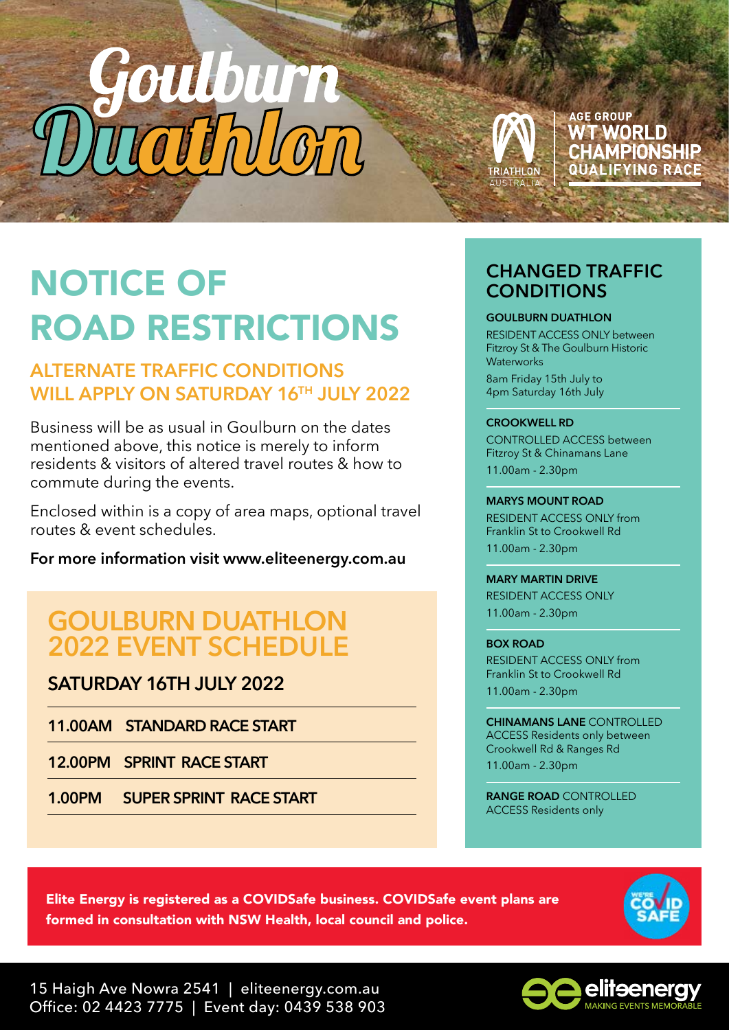



## **AGE GROUP WT WORLD** CHAMPIONSHIP **QUALIFYING RACE**

# NOTICE OF ROAD RESTRICTIONS

## **ALTERNATE TRAFFIC CONDITIONS WILL APPLY ON SATURDAY 16TH JULY 2022**

Business will be as usual in Goulburn on the dates mentioned above, this notice is merely to inform residents & visitors of altered travel routes & how to commute during the events.

Enclosed within is a copy of area maps, optional travel routes & event schedules.

**For more information visit www.eliteenergy.com.au**

## **GOULBURN DUATHLON 2022 EVENT SCHEDULE**

**SATURDAY 16TH JULY 2022**

**11.00AM STANDARD RACE START** 

**12.00PM SPRINT RACE START** 

**1.00PM SUPER SPRINT RACE START** 

## **CHANGED TRAFFIC CONDITIONS**

### **GOULBURN DUATHLON**

RESIDENT ACCESS ONLY between Fitzroy St & The Goulburn Historic **Waterworks** 8am Friday 15th July to 4pm Saturday 16th July

### **CROOKWELL RD**

CONTROLLED ACCESS between Fitzroy St & Chinamans Lane 11.00am - 2.30pm

### **MARYS MOUNT ROAD**

RESIDENT ACCESS ONLY from Franklin St to Crookwell Rd 11.00am - 2.30pm

**MARY MARTIN DRIVE** RESIDENT ACCESS ONLY 11.00am - 2.30pm

**BOX ROAD** RESIDENT ACCESS ONLY from Franklin St to Crookwell Rd 11.00am - 2.30pm

**CHINAMANS LANE** CONTROLLED ACCESS Residents only between Crookwell Rd & Ranges Rd 11.00am - 2.30pm

**RANGE ROAD** CONTROLLED ACCESS Residents only

Elite Energy is registered as a COVIDSafe business. COVIDSafe event plans are formed in consultation with NSW Health, local council and police.



15 Haigh Ave Nowra 2541 | eliteenergy.com.au Office: 02 4423 7775 | Event day: 0439 538 903